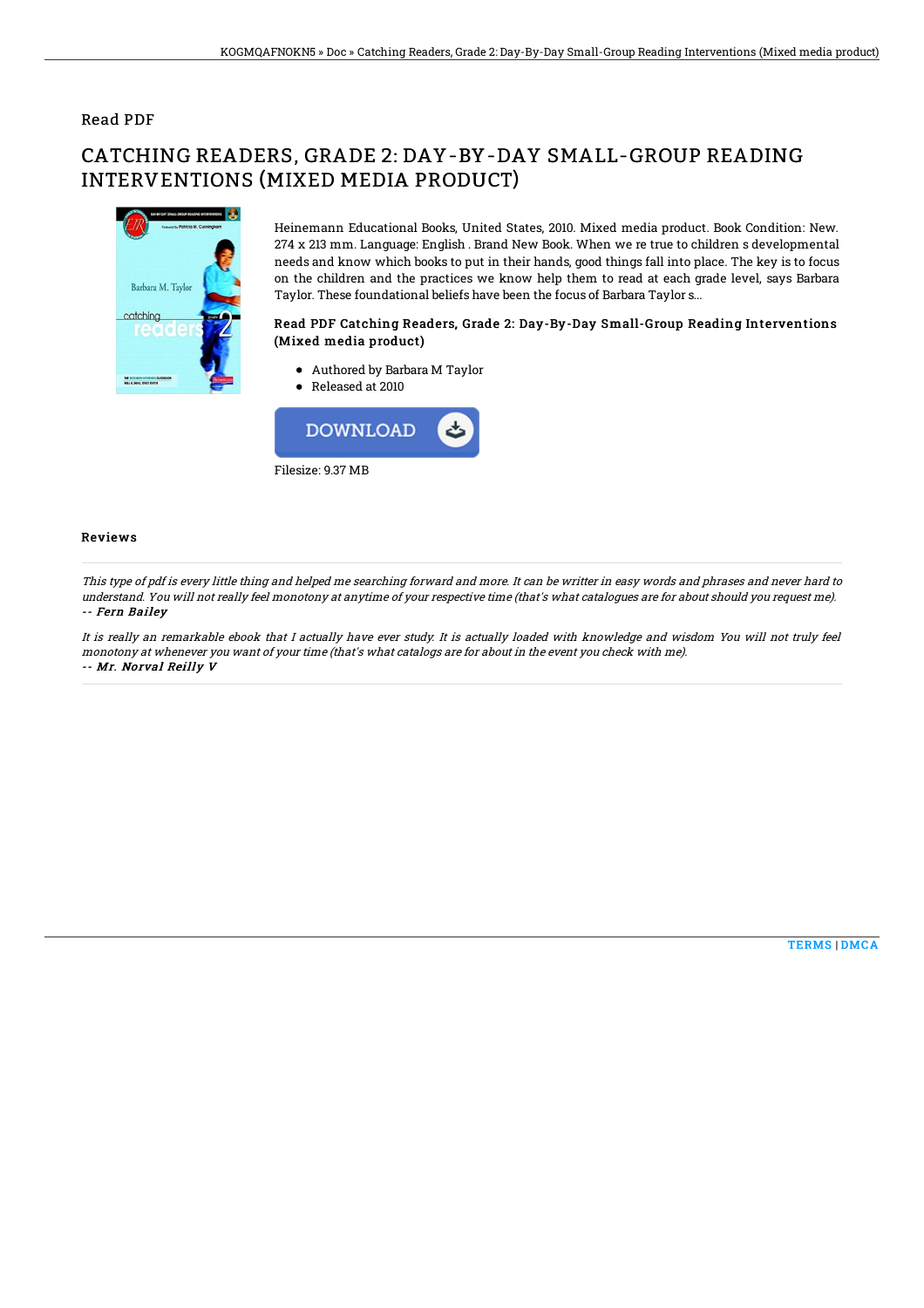## Read PDF

# CATCHING READERS, GRADE 2: DAY-BY-DAY SMALL-GROUP READING INTERVENTIONS (MIXED MEDIA PRODUCT)



Heinemann Educational Books, United States, 2010. Mixed media product. Book Condition: New. 274 x 213 mm. Language: English . Brand New Book. When we re true to children s developmental needs and know which books to put in their hands, good things fall into place. The key is to focus on the children and the practices we know help them to read at each grade level, says Barbara Taylor. These foundational beliefs have been the focus of Barbara Taylor s...

### Read PDF Catching Readers, Grade 2: Day-By-Day Small-Group Reading Interventions (Mixed media product)

- Authored by Barbara M Taylor
- Released at 2010



#### Reviews

This type of pdf is every little thing and helped me searching forward and more. It can be writter in easy words and phrases and never hard to understand. You will not really feel monotony at anytime of your respective time (that's what catalogues are for about should you request me). -- Fern Bailey

It is really an remarkable ebook that I actually have ever study. It is actually loaded with knowledge and wisdom You will not truly feel monotony at whenever you want of your time (that's what catalogs are for about in the event you check with me). -- Mr. Norval Reilly V